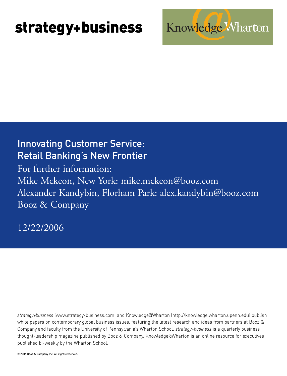# **strategy+business**

### Innovating Customer Service: Retail Banking's New Frontier

For further information: Mike Mckeon, New York: mike.mckeon@booz.com Alexander Kandybin, Florham Park: alex.kandybin@booz.com Booz & Company

12/22/2006

*strategy+business* (www.strategy-business.com) and Knowledge@Wharton (http://knowledge.wharton.upenn.edu) publish white papers on contemporary global business issues, featuring the latest research and ideas from partners at Booz & Company and faculty from the University of Pennsylvania's Wharton School. *strategy+business* is a quarterly business thought-leadership magazine published by Booz & Company. Knowledge@Wharton is an online resource for executives published bi-weekly by the Wharton School.

© 2006 Booz & Company Inc. All rights reserved.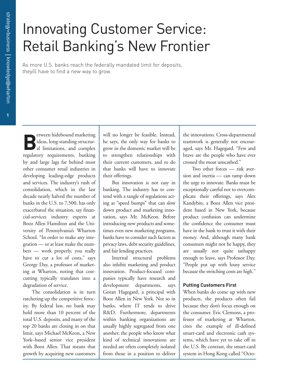## Innovating Customer Service: Retail Banking's New Frontier

As more U.S. banks reach the federally mandated limit for deposits, theyíll have to find a new way to grow.

**B** etween hidebound marketing ideas, long-standing structural limitations, and complex regulatory requirements, banking by and large lags far behind most other consumer retail industries in developing leading-edge products and services. The industry's rush of consolidation, which in the last decade nearly halved the number of banks in the U.S. to 7,500, has only exacerbated the situation, say financial-services industry experts at Booz Allen Hamilton and the University of Pennsylvania's Wharton School. "In order to make any integration — or at least make the numbers — work properly, you really have to cut a lot of costs," says George Day, a professor of marketing at Wharton, noting that costcutting typically translates into a degradation of service.

The consolidation is in turn ratcheting up the competitive ferocity. By federal law, no bank may hold more than 10 percent of the total U.S. deposits, and many of the top 20 banks are closing in on that limit, says Michael McKeon, a New York–based senior vice president with Booz Allen. That means that growth by acquiring new customers

will no longer be feasible. Instead, he says, the only way for banks to grow in the domestic market will be to strengthen relationships with their current customers, and to do that banks will have to innovate their offerings.

But innovation is not easy in banking. The industry has to contend with a tangle of regulations acting as "speed bumps" that can slow down product and marketing innovation, says Mr. McKeon. Before introducing new products and sometimes even new marketing programs, banks have to consider such factors as privacy laws, debt security guidelines, and fair lending practices.

Internal structural problems also inhibit marketing and product innovation. Product-focused companies typically have research and development departments, says Goran Hagegard, a principal with Booz Allen in New York. Not so in banks, where IT tends to drive R&D. Furthermore, departments within banking organizations are usually highly segregated from one another; the people who know what kind of technical innovations are needed are often completely isolated from those in a position to deliver

the innovations. Cross-departmental teamwork is generally not encouraged, says Mr. Hagegard. "Few and brave are the people who have ever crossed the moat unscathed."

Two other forces — risk aversion and inertia — can tamp down the urge to innovate. Banks must be exceptionally careful not to overcomplicate their offerings, says Alex Kandybin, a Booz Allen vice president based in New York, because product confusion can undermine the confidence the consumer must have in the bank to trust it with their money. And, although many bank consumers might not be happy, they are usually not quite unhappy enough to leave, says Professor Day. "People put up with lousy service because the switching costs are high."

### **Putting Customers First**

When banks do come up with new products, the products often fail because they don't focus enough on the consumer. Eric Clemons, a professor of marketing at Wharton, cites the example of ill-defined smart-card and electronic cash systems, which have yet to take off in the U.S. By contrast, the smart-card system in Hong Kong called "Octo-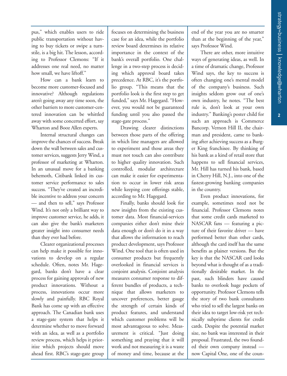**2**

pus," which enables users to ride public transportation without having to buy tickets or swipe a turnstile, is a big hit. The lesson, according to Professor Clemons: "If it addresses one real need, no matter how small, we have liftoff."

How can a bank learn to become more customer-focused and innovative? Although regulations aren't going away any time soon, the other barriers to more customer-centered innovation can be whittled away with some concerted effort, say Wharton and Booz Allen experts.

Internal structural changes can improve the chances of success. Break down the wall between sales and customer services, suggests Jerry Wind, a professor of marketing at Wharton. In an unusual move for a banking behemoth, Citibank linked its customer service performance to sales success. "They've created an incredible incentive to address your concern — and then to sell," says Professor Wind. It's not only a brilliant way to improve customer service, he adds, it can also give the bank's marketers greater insight into consumer needs than they ever had before.

Clearer organizational processes can help make it possible for innovations to develop on a regular schedule. Often, notes Mr. Hagegard, banks don't have a clear process for gaining approvals of new product innovations. Without a process, innovations occur more slowly and painfully. RBC Royal Bank has come up with an effective approach. The Canadian bank uses a stage-gate system that helps it determine whether to move forward with an idea, as well as a portfolio review process, which helps it prioritize which projects should move ahead first. RBC's stage-gate group

focuses on determining the business case for an idea, while the portfolio review board determines its relative importance in the context of the bank's overall portfolio. One challenge in a two-step process is deciding which approval board takes precedence. At RBC, it's the portfolio group. "This means that the portfolio look is the first step to get funded," says Mr. Hagegard. "However, you would not be guaranteed funding until you also passed the stage-gate process."

Drawing clearer distinctions between those parts of the offering in which line managers are allowed to experiment and those areas they must not touch can also contribute to higher quality innovation. Such controlled, modular architecture can make it easier for experimentation to occur in lower risk areas while keeping core offerings stable, according to Mr. Hagegard.

Finally, banks should look for new insights from the existing customer data. Most financial-services companies either don't mine their data enough or don't do it in a way that allows the information to reach product development, says Professor Wind. One tool that is often used in consumer products but frequently overlooked in financial services is conjoint analysis. Conjoint analysis measures consumer response to different bundles of products, a technique that allows marketers to uncover preferences, better gauge the strength of certain kinds of product features, and understand which customer problems will be most advantageous to solve. Measurement is critical. "Just doing something and praying that it will work and not measuring it is a waste of money and time, because at the

end of the year you are no smarter than at the beginning of the year," says Professor Wind.

There are other, more intuitive ways of generating ideas, as well. In a time of dramatic change, Professor Wind says, the key to success is often changing one's mental model of the company's business. Such insights seldom grow out of one's own industry, he notes. "The best rule is, don't look at your own industry." Banking's poster child for such an approach is Commerce Bancorp. Vernon Hill II, the chairman and president, came to banking after achieving success as a Burger King franchisee. By thinking of his bank as a kind of retail store that happens to sell financial services, Mr. Hill has turned his bank, based in Cherry Hill, N.J., into one of the fastest-growing banking companies in the country.

Even product innovations, for example, sometimes need not be financial. Professor Clemons notes that some credit cards marketed to NASCAR fans — featuring a picture of their favorite driver — have performed better than other cards, although the card itself has the same benefits as plainer versions. But the key is that the NASCAR card looks beyond what is thought of as a traditionally desirable market. In the past, such blinders have caused banks to overlook huge pockets of opportunity. Professor Clemons tells the story of two bank consultants who tried to sell the largest banks on their idea to target low-risk yet technically subprime clients for credit cards. Despite the potential market size, no bank was interested in their proposal. Frustrated, the two founded their own company instead now Capital One, one of the coun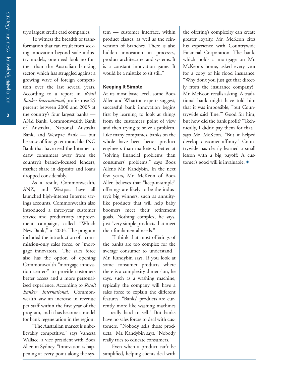**3**

try's largest credit card companies.

To witness the breadth of transformation that can result from seeking innovation beyond stale industry models, one need look no further than the Australian banking sector, which has struggled against a growing wave of foreign competition over the last several years. According to a report in *Retail Banker International*, profits rose 25 percent between 2000 and 2005 at the country's four largest banks — ANZ Bank, Commonwealth Bank of Australia, National Australia Bank, and Westpac Bank — but because of foreign entrants like ING Bank that have used the Internet to draw consumers away from the country's branch-focused lenders, market share in deposits and loans dropped considerably.

As a result, Commonwealth, ANZ, and Westpac have all launched high-interest Internet savings accounts. Commonwealth also introduced a three-year customer service and productivity improvement campaign, called "Which New Bank," in 2003. The program included the introduction of a commission-only sales force, or "mortgage innovators." The sales force also has the option of opening Commonwealth "mortgage innovation centers" to provide customers better access and a more personalized experience. According to *Retail Banker International*, Commonwealth saw an increase in revenue per staff within the first year of the program, and it has become a model for bank regeneration in the region.

"The Australian market is unbelievably competitive," says Vanessa Wallace, a vice president with Booz Allen in Sydney. "Innovation is happening at every point along the sys-

tem — customer interface, within product classes, as well as the reinvention of branches. There is also hidden innovation in processes, product architecture, and systems. It is a constant innovation game. It would be a mistake to sit still."

#### **Keeping It Simple**

At its most basic level, some Booz Allen and Wharton experts suggest, successful bank innovation begins first by learning to look at things from the customer's point of view and then trying to solve a problem. Like many companies, banks on the whole have been better product engineers than marketers, better at "solving financial problems than consumers' problems," says Booz Allen's Mr. Kandybin. In the next few years, Mr. McKeon of Booz Allen believes that "keep-it-simple" offerings are likely to be the industry's big winners, such as annuitylike products that will help baby boomers meet their retirement goals. Nothing complex, he says, just "very simple products that meet their fundamental needs."

"I think that most offerings of the banks are too complex for the average consumer to understand," Mr. Kandybin says. If you look at some consumer products where there is a complexity dimension, he says, such as a washing machine, typically the company will have a sales force to explain the different features. "Banks' products are currently more like washing machines — really hard to sell." But banks have no sales forces to deal with customers. "Nobody sells those products," Mr. Kandybin says. "Nobody really tries to educate consumers."

Even when a product can't be simplified, helping clients deal with

the offering's complexity can create greater loyalty. Mr. McKeon cites his experience with Countrywide Financial Corporation. The bank, which holds a mortgage on Mr. McKeon's home, asked every year for a copy of his flood insurance. "Why don't you just get that directly from the insurance company?" Mr. McKeon recalls asking. A traditional bank might have told him that it was impossible, "but Countrywide said 'fine.'" Good for him, but how did the bank profit? "Technically, I didn't pay them for that," says Mr. McKeon. "But it helped develop customer affinity." Countrywide has clearly learned a small lesson with a big payoff: A customer's good will is invaluable. **+**